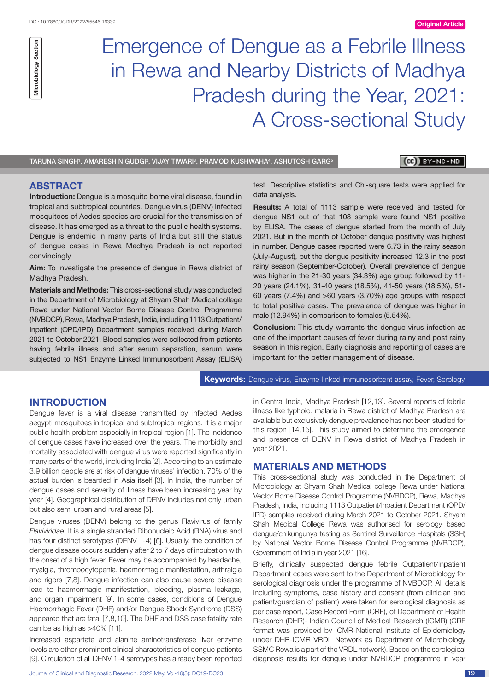Microbiology Section Microbiology Section

Emergence of Dengue as a Febrile Illness in Rewa and Nearby Districts of Madhya Pradesh during the Year, 2021: A Cross-sectional Study

TARUNA SINGH', AMARESH NIGUDGI², VIJAY TIWARIª, PRAMOD KUSHWAHA4, ASHUTOSH GARG<sup>5</sup>

# (cc)) BY-NC-ND

# **ABSTRACT**

**Introduction:** Dengue is a mosquito borne viral disease, found in tropical and subtropical countries. Dengue virus (DENV) infected mosquitoes of Aedes species are crucial for the transmission of disease. It has emerged as a threat to the public health systems. Dengue is endemic in many parts of India but still the status of dengue cases in Rewa Madhya Pradesh is not reported convincingly.

**Aim:** To investigate the presence of dengue in Rewa district of Madhya Pradesh.

**Materials and Methods:** This cross-sectional study was conducted in the Department of Microbiology at Shyam Shah Medical college Rewa under National Vector Borne Disease Control Programme (NVBDCP), Rewa, Madhya Pradesh, India, including 1113 Outpatient/ Inpatient (OPD/IPD) Department samples received during March 2021 to October 2021. Blood samples were collected from patients having febrile illness and after serum separation, serum were subjected to NS1 Enzyme Linked Immunosorbent Assay (ELISA)

test. Descriptive statistics and Chi-square tests were applied for data analysis.

**Results:** A total of 1113 sample were received and tested for dengue NS1 out of that 108 sample were found NS1 positive by ELISA. The cases of dengue started from the month of July 2021. But in the month of October dengue positivity was highest in number. Dengue cases reported were 6.73 in the rainy season (July-August), but the dengue positivity increased 12.3 in the post rainy season (September-October). Overall prevalence of dengue was higher in the 21-30 years (34.3%) age group followed by 11- 20 years (24.1%), 31-40 years (18.5%), 41-50 years (18.5%), 51- 60 years (7.4%) and >60 years (3.70%) age groups with respect to total positive cases. The prevalence of dengue was higher in male (12.94%) in comparison to females (5.54%).

**Conclusion:** This study warrants the dengue virus infection as one of the important causes of fever during rainy and post rainy season in this region. Early diagnosis and reporting of cases are important for the better management of disease.

**Keywords:** Dengue virus, Enzyme-linked immunosorbent assay, Fever, Serology

## **Introduction**

Dengue fever is a viral disease transmitted by infected Aedes aegypti mosquitoes in tropical and subtropical regions. It is a major public health problem especially in tropical region [1]. The incidence of dengue cases have increased over the years. The morbidity and mortality associated with dengue virus were reported significantly in many parts of the world, including India [2]. According to an estimate 3.9 billion people are at risk of dengue viruses' infection. 70% of the actual burden is bearded in Asia itself [3]. In India, the number of dengue cases and severity of illness have been increasing year by year [4]. Geographical distribution of DENV includes not only urban but also semi urban and rural areas [5].

Dengue viruses (DENV) belong to the genus Flavivirus of family *Flaviviridae*. It is a single stranded Ribonucleic Acid (RNA) virus and has four distinct serotypes (DENV 1-4) [6]. Usually, the condition of dengue disease occurs suddenly after 2 to 7 days of incubation with the onset of a high fever. Fever may be accompanied by headache, myalgia, thrombocytopenia, haemorrhagic manifestation, arthralgia and rigors [7,8]. Dengue infection can also cause severe disease lead to haemorrhagic manifestation, bleeding, plasma leakage, and organ impairment [9]. In some cases, conditions of Dengue Haemorrhagic Fever (DHF) and/or Dengue Shock Syndrome (DSS) appeared that are fatal [7,8,10]. The DHF and DSS case fatality rate can be as high as  $>40\%$  [11].

Increased aspartate and alanine aminotransferase liver enzyme levels are other prominent clinical characteristics of dengue patients [9]. Circulation of all DENV 1-4 serotypes has already been reported

in Central India, Madhya Pradesh [12,13]. Several reports of febrile illness like typhoid, malaria in Rewa district of Madhya Pradesh are available but exclusively dengue prevalence has not been studied for this region [14,15]. This study aimed to determine the emergence and presence of DENV in Rewa district of Madhya Pradesh in year 2021.

## **Materials and methods**

This cross-sectional study was conducted in the Department of Microbiology at Shyam Shah Medical college Rewa under National Vector Borne Disease Control Programme (NVBDCP), Rewa, Madhya Pradesh, India, including 1113 Outpatient/Inpatient Department (OPD/ IPD) samples received during March 2021 to October 2021. Shyam Shah Medical College Rewa was authorised for serology based dengue/chikungunya testing as Sentinel Surveillance Hospitals (SSH) by National Vector Borne Disease Control Programme (NVBDCP), Government of India in year 2021 [16].

Briefly, clinically suspected dengue febrile Outpatient/Inpatient Department cases were sent to the Department of Microbiology for serological diagnosis under the programme of NVBDCP. All details including symptoms, case history and consent (from clinician and patient/guardian of patient) were taken for serological diagnosis as per case report, Case Record Form (CRF), of Department of Health Research (DHR)- Indian Council of Medical Research (ICMR) (CRF format was provided by ICMR-National Institute of Epidemiology under DHR-ICMR VRDL Network as Department of Microbiology SSMC Rewa is a part of the VRDL network). Based on the serological diagnosis results for dengue under NVBDCP programme in year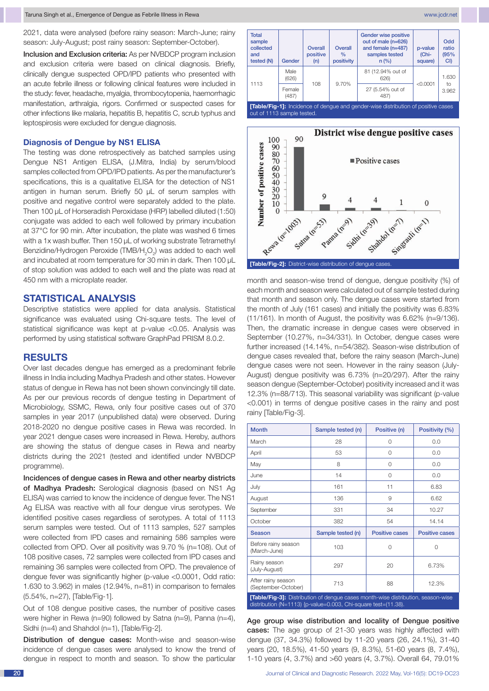2021, data were analysed (before rainy season: March-June; rainy season: July-August; post rainy season: September-October).

Inclusion and Exclusion criteria: As per NVBDCP program inclusion and exclusion criteria were based on clinical diagnosis. Briefly, clinically dengue suspected OPD/IPD patients who presented with an acute febrile illness or following clinical features were included in the study: fever, headache, myalgia, thrombocytopenia, haemorrhagic manifestation, arthralgia, rigors. Confirmed or suspected cases for other infections like malaria, hepatitis B, hepatitis C, scrub typhus and leptospirosis were excluded for dengue diagnosis.

## **Diagnosis of Dengue by NS1 ELISA**

The testing was done retrospectively as batched samples using Dengue NS1 Antigen ELISA, (J.Mitra, India) by serum/blood samples collected from OPD/IPD patients. As per the manufacturer's specifications, this is a qualitative ELISA for the detection of NS1 antigen in human serum. Briefly 50 µL of serum samples with positive and negative control were separately added to the plate. Then 100 µL of Horseradish Peroxidase (HRP) labelled diluted (1:50) conjugate was added to each well followed by primary incubation at 37°C for 90 min. After incubation, the plate was washed 6 times with a 1x wash buffer. Then 150 µL of working substrate Tetramethyl Benzidine/Hydrogen Peroxide (TMB/H<sub>2</sub>O<sub>2</sub>) was added to each well and incubated at room temperature for 30 min in dark. Then 100  $\mu$ L of stop solution was added to each well and the plate was read at 450 nm with a microplate reader.

# **Statistical analysis**

Descriptive statistics were applied for data analysis. Statistical significance was evaluated using Chi-square tests. The level of statistical significance was kept at p-value <0.05. Analysis was performed by using statistical software GraphPad PRISM 8.0.2.

# **Results**

Over last decades dengue has emerged as a predominant febrile illness in India including Madhya Pradesh and other states. However status of dengue in Rewa has not been shown convincingly till date. As per our previous records of dengue testing in Department of Microbiology, SSMC, Rewa, only four positive cases out of 370 samples in year 2017 (unpublished data) were observed. During 2018-2020 no dengue positive cases in Rewa was recorded. In year 2021 dengue cases were increased in Rewa. Hereby, authors are showing the status of dengue cases in Rewa and nearby districts during the 2021 (tested and identified under NVBDCP programme).

Incidences of dengue cases in Rewa and other nearby districts of Madhya Pradesh: Serological diagnosis (based on NS1 Ag ELISA) was carried to know the incidence of dengue fever. The NS1 Ag ELISA was reactive with all four dengue virus serotypes. We identified positive cases regardless of serotypes. A total of 1113 serum samples were tested. Out of 1113 samples, 527 samples were collected from IPD cases and remaining 586 samples were collected from OPD. Over all positivity was 9.70 % (n=108). Out of 108 positive cases, 72 samples were collected from IPD cases and remaining 36 samples were collected from OPD. The prevalence of dengue fever was significantly higher (p-value <0.0001, Odd ratio: 1.630 to 3.962) in males (12.94%, n=81) in comparison to females (5.54%, n=27), [Table/Fig-1].

Out of 108 dengue positive cases, the number of positive cases were higher in Rewa (n=90) followed by Satna (n=9), Panna (n=4), Sidhi (n=4) and Shahdol (n=1), [Table/Fig-2].

Distribution of dengue cases: Month-wise and season-wise incidence of dengue cases were analysed to know the trend of dengue in respect to month and season. To show the particular





month and season-wise trend of dengue, dengue positivity (%) of each month and season were calculated out of sample tested during that month and season only. The dengue cases were started from the month of July (161 cases) and initially the positivity was 6.83% (11/161). In month of August, the positivity was 6.62% (n=9/136). Then, the dramatic increase in dengue cases were observed in September (10.27%, n=34/331). In October, dengue cases were further increased (14.14%, n=54/382). Season-wise distribution of dengue cases revealed that, before the rainy season (March-June) dengue cases were not seen. However in the rainy season (July-August) dengue positivity was 6.73% (n=20/297). After the rainy season dengue (September-October) positivity increased and it was 12.3% (n=88/713). This seasonal variability was significant (p-value <0.001) in terms of dengue positive cases in the rainy and post rainy [Table/Fig-3].

| <b>Month</b>                                                                                                                                       | Sample tested (n) | Positive (n)          | Positivity (%)        |
|----------------------------------------------------------------------------------------------------------------------------------------------------|-------------------|-----------------------|-----------------------|
| March                                                                                                                                              | 28                | 0                     | 0.0                   |
| April                                                                                                                                              | 53                | 0                     | 0.0                   |
| May                                                                                                                                                | 8                 | 0                     | 0.0                   |
| June                                                                                                                                               | 14                | $\Omega$              | 0.0                   |
| July                                                                                                                                               | 161               | 11                    | 6.83                  |
| August                                                                                                                                             | 136               | 9                     | 6.62                  |
| September                                                                                                                                          | 331               | 34                    | 10.27                 |
| October                                                                                                                                            | 382               | 54                    | 14.14                 |
| <b>Season</b>                                                                                                                                      | Sample tested (n) | <b>Positive cases</b> | <b>Positive cases</b> |
| Before rainy season<br>(March-June)                                                                                                                | 103               | 0                     | 0                     |
| Rainy season<br>(July-August)                                                                                                                      | 297               | 20                    | 6.73%                 |
| After rainy season<br>(September-October)                                                                                                          | 713               | 88                    | 12.3%                 |
| [Table/Fig-3]: Distribution of dengue cases month-wise distribution, season-wise<br>distribution (N=1113) {p-value=0.003, Chi-square test=(11.38). |                   |                       |                       |

Age group wise distribution and locality of Dengue positive cases: The age group of 21-30 years was highly affected with dengue (37, 34.3%) followed by 11-20 years (26, 24.1%), 31-40 years (20, 18.5%), 41-50 years (9, 8.3%), 51-60 years (8, 7.4%), 1-10 years (4, 3.7%) and >60 years (4, 3.7%). Overall 64, 79.01%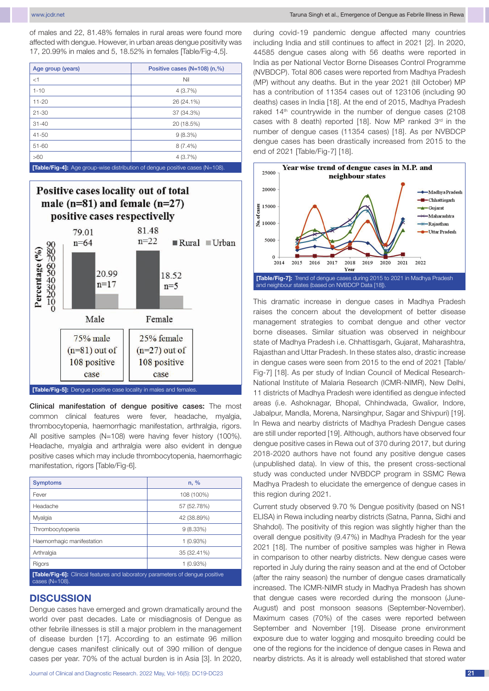www.jcdr.net Taruna Singh et al., Emergence of Dengue as Febrile Illness in Rewa

of males and 22, 81.48% females in rural areas were found more affected with dengue. However, in urban areas dengue positivity was 17, 20.99% in males and 5, 18.52% in females [Table/Fig-4,5].

| Age group (years)                                                                                                     | Positive cases (N=108) (n,%) |  |
|-----------------------------------------------------------------------------------------------------------------------|------------------------------|--|
| $<$ 1                                                                                                                 | Nil                          |  |
| $1 - 10$                                                                                                              | 4(3.7%)                      |  |
| $11 - 20$                                                                                                             | 26 (24.1%)                   |  |
| $21 - 30$                                                                                                             | 37 (34.3%)                   |  |
| $31 - 40$                                                                                                             | 20 (18.5%)                   |  |
| $41 - 50$                                                                                                             | 9(8.3%)                      |  |
| $51 - 60$                                                                                                             | $8(7.4\%)$                   |  |
| >60                                                                                                                   | 4(3.7%)                      |  |
| <b>PER III APPROVAL AND A START AND A START AND A START AND A START AND A START AND A START AND A START AND A STA</b> |                              |  |

**[Table/Fig-4]:** 



Clinical manifestation of dengue positive cases: The most common clinical features were fever, headache, myalgia, thrombocytopenia, haemorrhagic manifestation, arthralgia, rigors. All positive samples (N=108) were having fever history (100%). Headache, myalgia and arthralgia were also evident in dengue positive cases which may include thrombocytopenia, haemorrhagic manifestation, rigors [Table/Fig-6].

| <b>Symptoms</b>                                                                                        | n, %        |  |
|--------------------------------------------------------------------------------------------------------|-------------|--|
| Fever                                                                                                  | 108 (100%)  |  |
| Headache                                                                                               | 57 (52.78%) |  |
| Myalgia                                                                                                | 42 (38.89%) |  |
| Thrombocytopenia                                                                                       | $9(8.33\%)$ |  |
| Haemorrhagic manifestation                                                                             | $1(0.93\%)$ |  |
| Arthralgia                                                                                             | 35 (32.41%) |  |
| Rigors                                                                                                 | $1(0.93\%)$ |  |
| <b>[Table/Fig-6]:</b> Clinical features and laboratory parameters of dengue positive<br>cases (N=108). |             |  |

## **Discussion**

Dengue cases have emerged and grown dramatically around the world over past decades. Late or misdiagnosis of Dengue as other febrile illnesses is still a major problem in the management of disease burden [17]. According to an estimate 96 million dengue cases manifest clinically out of 390 million of dengue cases per year. 70% of the actual burden is in Asia [3]. In 2020,

during covid-19 pandemic dengue affected many countries including India and still continues to affect in 2021 [2]. In 2020, 44585 dengue cases along with 56 deaths were reported in India as per National Vector Borne Diseases Control Programme (NVBDCP). Total 806 cases were reported from Madhya Pradesh (MP) without any deaths. But in the year 2021 (till October) MP has a contribution of 11354 cases out of 123106 (including 90 deaths) cases in India [18]. At the end of 2015, Madhya Pradesh raked 14<sup>th</sup> countrywide in the number of dengue cases (2108 cases with 8 death) reported [18]. Now MP ranked  $3<sup>rd</sup>$  in the number of dengue cases (11354 cases) [18]. As per NVBDCP dengue cases has been drastically increased from 2015 to the end of 2021 [Table/Fig-7] [18].



This dramatic increase in dengue cases in Madhya Pradesh raises the concern about the development of better disease management strategies to combat dengue and other vector borne diseases. Similar situation was observed in neighbour state of Madhya Pradesh i.e. Chhattisgarh, Gujarat, Maharashtra, Rajasthan and Uttar Pradesh. In these states also, drastic increase in dengue cases were seen from 2015 to the end of 2021 [Table/ Fig-7] [18]. As per study of Indian Council of Medical Research-National Institute of Malaria Research (ICMR-NIMR), New Delhi, 11 districts of Madhya Pradesh were identified as dengue infected areas (i.e. Ashoknagar, Bhopal, Chhindwada, Gwalior, Indore, Jabalpur, Mandla, Morena, Narsinghpur, Sagar and Shivpuri) [19]. In Rewa and nearby districts of Madhya Pradesh Dengue cases are still under reported [19]. Although, authors have observed four dengue positive cases in Rewa out of 370 during 2017, but during 2018-2020 authors have not found any positive dengue cases (unpublished data). In view of this, the present cross-sectional study was conducted under NVBDCP program in SSMC Rewa Madhya Pradesh to elucidate the emergence of dengue cases in this region during 2021.

Current study observed 9.70 % Dengue positivity (based on NS1 ELISA) in Rewa including nearby districts (Satna, Panna, Sidhi and Shahdol). The positivity of this region was slightly higher than the overall dengue positivity (9.47%) in Madhya Pradesh for the year 2021 [18]. The number of positive samples was higher in Rewa in comparison to other nearby districts. New dengue cases were reported in July during the rainy season and at the end of October (after the rainy season) the number of dengue cases dramatically increased. The ICMR-NIMR study in Madhya Pradesh has shown that dengue cases were recorded during the monsoon (June-August) and post monsoon seasons (September-November). Maximum cases (70%) of the cases were reported between September and November [19]. Disease prone environment exposure due to water logging and mosquito breeding could be one of the regions for the incidence of dengue cases in Rewa and nearby districts. As it is already well established that stored water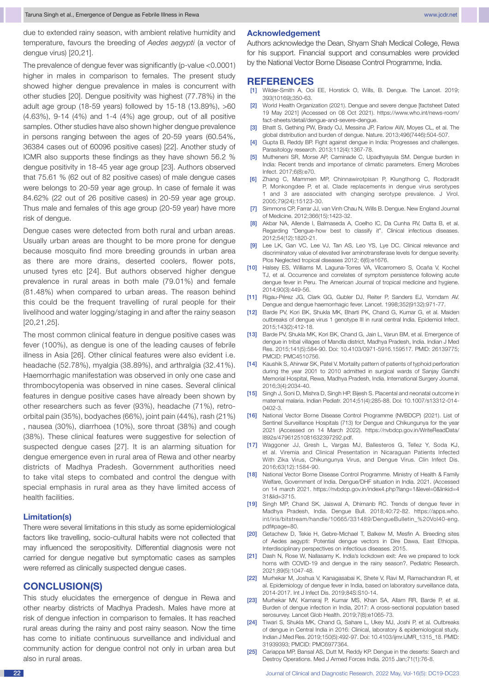due to extended rainy season, with ambient relative humidity and temperature, favours the breeding of *Aedes aegypti* (a vector of dengue virus) [20,21].

The prevalence of dengue fever was significantly (p-value <0.0001) higher in males in comparison to females. The present study showed higher dengue prevalence in males is concurrent with other studies [20]. Dengue positivity was highest (77.78%) in the adult age group (18-59 years) followed by 15-18 (13.89%), >60 (4.63%), 9-14 (4%) and 1-4 (4%) age group, out of all positive samples. Other studies have also shown higher dengue prevalence in persons ranging between the ages of 20-59 years (60.54%, 36384 cases out of 60096 positive cases) [22]. Another study of ICMR also supports these findings as they have shown 56.2 % dengue positivity in 18-45 year age group [23]. Authors observed that 75.61 % (62 out of 82 positive cases) of male dengue cases were belongs to 20-59 year age group. In case of female it was 84.62% (22 out of 26 positive cases) in 20-59 year age group. Thus male and females of this age group (20-59 year) have more risk of dengue.

Dengue cases were detected from both rural and urban areas. Usually urban areas are thought to be more prone for dengue because mosquito find more breeding grounds in urban area as there are more drains, deserted coolers, flower pots, unused tyres etc [24]. But authors observed higher dengue prevalence in rural areas in both male (79.01%) and female (81.48%) when compared to urban areas. The reason behind this could be the frequent travelling of rural people for their livelihood and water logging/staging in and after the rainy season [20,21,25].

The most common clinical feature in dengue positive cases was fever (100%), as dengue is one of the leading causes of febrile illness in Asia [26]. Other clinical features were also evident i.e. headache (52.78%), myalgia (38.89%), and arthralgia (32.41%). Haemorrhagic manifestation was observed in only one case and thrombocytopenia was observed in nine cases. Several clinical features in dengue positive cases have already been shown by other researchers such as fever (93%), headache (71%), retroorbital pain (35%), bodyaches (66%), joint pain (44%), rash (21%) , nausea (30%), diarrhoea (10%), sore throat (38%) and cough (38%). These clinical features were suggestive for selection of suspected dengue cases [27]. It is an alarming situation for dengue emergence even in rural area of Rewa and other nearby districts of Madhya Pradesh. Government authorities need to take vital steps to combated and control the dengue with special emphasis in rural area as they have limited access of health facilities.

### **Limitation(s)**

There were several limitations in this study as some epidemiological factors like travelling, socio-cultural habits were not collected that may influenced the seropositivity. Differential diagnosis were not carried for dengue negative but symptomatic cases as samples were referred as clinically suspected dengue cases.

# **CONCLUSION(S)**

This study elucidates the emergence of dengue in Rewa and other nearby districts of Madhya Pradesh. Males have more at risk of dengue infection in comparison to females. It has reached rural areas during the rainy and post rainy season. Now the time has come to initiate continuous surveillance and individual and community action for dengue control not only in urban area but also in rural areas.

## **Acknowledgement**

Authors acknowledge the Dean, Shyam Shah Medical College, Rewa for his support. Financial support and consumables were provided by the National Vector Borne Disease Control Programme, India.

### **References**

- [1] Wilder-Smith A, Ooi EE, Horstick O, Wills, B. Dengue. The Lancet. 2019; 393(10169);350-63.
- [2] World Health Organization (2021). Dengue and severe dengue [factsheet Dated 19 May 2021] (Accessed on 08 Oct 2021). https://www.who.int/news-room/ fact-sheets/detail/dengue-and-severe-dengue.
- [3] Bhatt S, Gething PW, Brady OJ, Messina JP, Farlow AW, Moyes CL, et al. The global distribution and burden of dengue. Nature. 2013;496(7446):504-507.
- [4] Gupta B, Reddy BP. Fight against dengue in India: Progresses and challenges. Parasitology research. 2013;112(4):1367-78.
- [5] Mutheneni SR, Morse AP, Caminade C, Upadhyayula SM. Dengue burden in India: Recent trends and importance of climatic parameters. Emerg Microbes Infect. 2017;6(8):e70.
- [6] Zhang C, Mammen MP, Chinnawirotpisan P, Klungthong C, Rodpradit P, Monkongdee P, et al. Clade replacements in dengue virus serotypes 1 and 3 are associated with changing serotype prevalence. J Virol. 2005;79(24):15123-30.
- [7] Simmons CP, Farrar JJ, van Vinh Chau N, Wills B. Dengue. New England Journal of Medicine. 2012;366(15):1423-32.
- [8] Akbar NA, Allende I, Balmaseda A, Coelho IC, Da Cunha RV, Datta B, et al. Regarding "Dengue-how best to classify it". Clinical infectious diseases. 2012;54(12):1820-21.
- [9] Lee LK, Gan VC, Lee VJ, Tan AS, Leo YS, Lye DC. Clinical relevance and discriminatory value of elevated liver aminotransferase levels for dengue severity. Plos Neglected tropical diseases 2012; 6(6):e1676.
- [10] Halsey ES, Williams M, Laguna-Torres VA, Vilcarromero S, Ocaña V, Kochel TJ, et al. Occurrence and correlates of symptom persistence following acute dengue fever in Peru. The American Journal of tropical medicine and hygiene. 2014;90(3):449-56.
- [11] Rigau-Pérez JG, Clark GG, Gubler DJ, Reiter P, Sanders EJ, Vorndam AV. Dengue and dengue haemorrhagic fever. Lancet. 1998;352(9132):971-77.
- [12] Barde PV, Kori BK, Shukla MK, Bharti PK, Chand G, Kumar G, et al. Maiden outbreaks of dengue virus 1 genotype III in rural central India. Epidemiol Infect. 2015;143(2):412-18.
- [13] Barde PV, Shukla MK, Kori BK, Chand G, Jain L, Varun BM, et al. Emergence of dengue in tribal villages of Mandla district, Madhya Pradesh, India. Indian J Med Res. 2015;141(5):584-90. Doi: 10.4103/0971-5916.159517. PMID: 26139775; PMCID: PMC4510756.
- [14] Kaushik S, Ahirwar SK, Patel V. Mortality pattern of patients of typhoid perforation during the year 2001 to 2010 admitted in surgical wards of Sanjay Gandhi Memorial Hospital, Rewa, Madhya Pradesh, India. International Surgery Journal. 2016;3(4):2034-40.
- [15] Singh J, Soni D, Mishra D, Singh HP, Bijesh S. Placental and neonatal outcome in maternal malaria. Indian Pediatr. 2014;51(4):285-88. Doi: 10.1007/s13312-014- 0402-3.
- [16] National Vector Borne Disease Control Programme (NVBDCP) (2021). List of Sentinel Surveillance Hospitals (713) for Dengue and Chikungunya for the year 2021 (Accessed on 14 March 2022). https://nvbdcp.gov.in/WriteReadData/ l892s/47961251081632397292.pdf.
- [17] Waggoner JJ, Gresh L, Vargas MJ, Ballesteros G, Tellez Y, Soda KJ, et al. Viremia and Clinical Presentation in Nicaraguan Patients Infected With Zika Virus, Chikungunya Virus, and Dengue Virus. Clin Infect Dis. 2016;63(12):1584-90.
- [18] National Vector Borne Disease Control Programme. Ministry of Health & Family Welfare, Government of India. Dengue/DHF situation in India. 2021. (Accessed on 14 march 2021. https://nvbdcp.gov.in/index4.php?lang=1&level=0&linkid=4 31&lid=3715.
- [19] Singh MP, Chand SK, Jaiswal A, Dhimanb RC. Trends of dengue fever in Madhya Pradesh, India. Dengue Bull. 2018;40:72-82. https://apps.who. int/iris/bitstream/handle/10665/331489/DengueBulletin\_%20Vol40-eng. pdf#page=80.
- [20] Getachew D, Tekie H, Gebre-Michael T, Balkew M, Mesfin A. Breeding sites of Aedes aegypti: Potential dengue vectors in Dire Dawa, East Ethiopia. Interdisciplinary perspectives on infectious diseases. 2015.
- [21] Dash N, Rose W, Nallasamy K. India's lockdown exit: Are we prepared to lock horns with COVID-19 and dengue in the rainy season?. Pediatric Research. 2021;89(5):1047-48.
- [22] Murhekar M, Joshua V, Kanagasabai K, Shete V, Ravi M, Ramachandran R, et al. Epidemiology of dengue fever in India, based on laboratory surveillance data, 2014-2017. Int J Infect Dis. 2019;84S:S10-14.
- [23] Murhekar MV, Kamaraj P, Kumar MS, Khan SA, Allam RR, Barde P, et al. Burden of dengue infection in India, 2017: A cross-sectional population based serosurvey. Lancet Glob Health. 2019;7(8):e1065-73.
- [24] Tiwari S, Shukla MK, Chand G, Sahare L, Ukey MJ, Joshi P, et al. Outbreaks of dengue in Central India in 2016: Clinical, laboratory & epidemiological study. Indian J Med Res. 2019;150(5):492-97. Doi: 10.4103/ijmr.IJMR\_1315\_18. PMID: 31939393; PMCID: PMC6977364.
- [25] Cariappa MP, Bansal AS, Dutt M, Reddy KP. Dengue in the deserts: Search and Destroy Operations. Med J Armed Forces India. 2015 Jan;71(1):76-8.